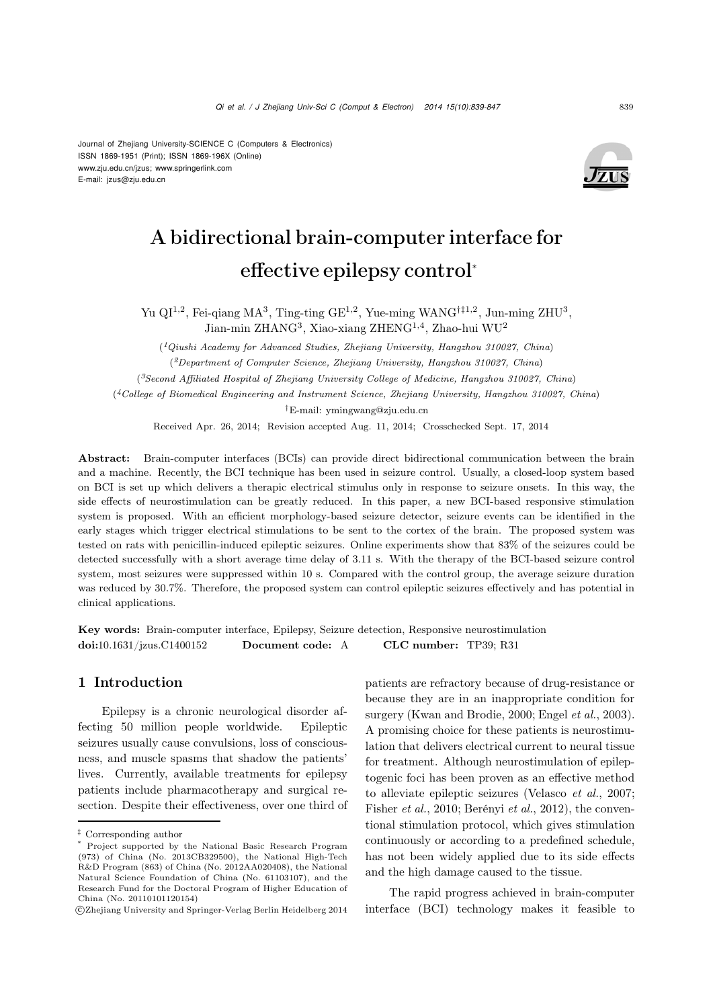#### Journal of Zhejiang University-SCIENCE C (Computers & Electronics) ISSN 1869-1951 (Print); ISSN 1869-196X (Online) www.zju.edu.cn/jzus; www.springerlink.com E-mail: jzus@zju.edu.cn



# A bidirectional brain-computer interface for effective epilepsy control<sup>∗</sup>

Yu QI1,2, Fei-qiang MA<sup>3</sup>, Ting-ting GE1,2, Yue-ming WANG*†‡*1,2, Jun-ming ZHU<sup>3</sup>, Jian-min ZHANG<sup>3</sup>, Xiao-xiang ZHENG1,4, Zhao-hui WU<sup>2</sup>

(*1Qiushi Academy for Advanced Studies, Zhejiang University, Hangzhou 310027, China*)

(*2Department of Computer Science, Zhejiang University, Hangzhou 310027, China*)

(*3Second Affiliated Hospital of Zhejiang University College of Medicine, Hangzhou 310027, China*)

(*4College of Biomedical Engineering and Instrument Science, Zhejiang University, Hangzhou 310027, China*)

*†*E-mail: ymingwang@zju.edu.cn

Received Apr. 26, 2014; Revision accepted Aug. 11, 2014; Crosschecked Sept. 17, 2014

Abstract: Brain-computer interfaces (BCIs) can provide direct bidirectional communication between the brain and a machine. Recently, the BCI technique has been used in seizure control. Usually, a closed-loop system based on BCI is set up which delivers a therapic electrical stimulus only in response to seizure onsets. In this way, the side effects of neurostimulation can be greatly reduced. In this paper, a new BCI-based responsive stimulation system is proposed. With an efficient morphology-based seizure detector, seizure events can be identified in the early stages which trigger electrical stimulations to be sent to the cortex of the brain. The proposed system was tested on rats with penicillin-induced epileptic seizures. Online experiments show that 83% of the seizures could be detected successfully with a short average time delay of 3.11 s. With the therapy of the BCI-based seizure control system, most seizures were suppressed within 10 s. Compared with the control group, the average seizure duration was reduced by 30.7%. Therefore, the proposed system can control epileptic seizures effectively and has potential in clinical applications.

Key words: Brain-computer interface, Epilepsy, Seizure detection, Responsive neurostimulation doi:10.1631/jzus.C1400152 Document code: A CLC number: TP39; R31

## 1 Introduction

Epilepsy is a chronic neurological disorder affecting 50 million people worldwide. Epileptic seizures usually cause convulsions, loss of consciousness, and muscle spasms that shadow the patients' lives. Currently, available treatments for epilepsy patients include pharmacotherapy and surgical resection. Despite their effectiveness, over one third of patients are refractory because of drug-resistance or because they are in an inappropriate condition for surgery [\(Kwan and Brodie, 2000](#page-7-0); [Engel](#page-7-1) *et al.*, [2003\)](#page-7-1). A promising choice for these patients is neurostimulation that delivers electrical current to neural tissue for treatment. Although neurostimulation of epileptogenic foci has been proven as an effective method to alleviate epileptic seizures [\(Velasco](#page-8-0) *et al.*, [2007;](#page-8-0) [Fisher](#page-7-2) *et al.*, [2010](#page-7-2); [Berényi](#page-7-3) *et al.*, [2012](#page-7-3)), the conventional stimulation protocol, which gives stimulation continuously or according to a predefined schedule, has not been widely applied due to its side effects and the high damage caused to the tissue.

The rapid progress achieved in brain-computer interface (BCI) technology makes it feasible to

*<sup>‡</sup>* Corresponding author

<sup>\*</sup> Project supported by the National Basic Research Program (973) of China (No. 2013CB329500), the National High-Tech R&D Program (863) of China (No. 2012AA020408), the National Natural Science Foundation of China (No. 61103107), and the Research Fund for the Doctoral Program of Higher Education of China (No. 20110101120154)

c Zhejiang University and Springer-Verlag Berlin Heidelberg 2014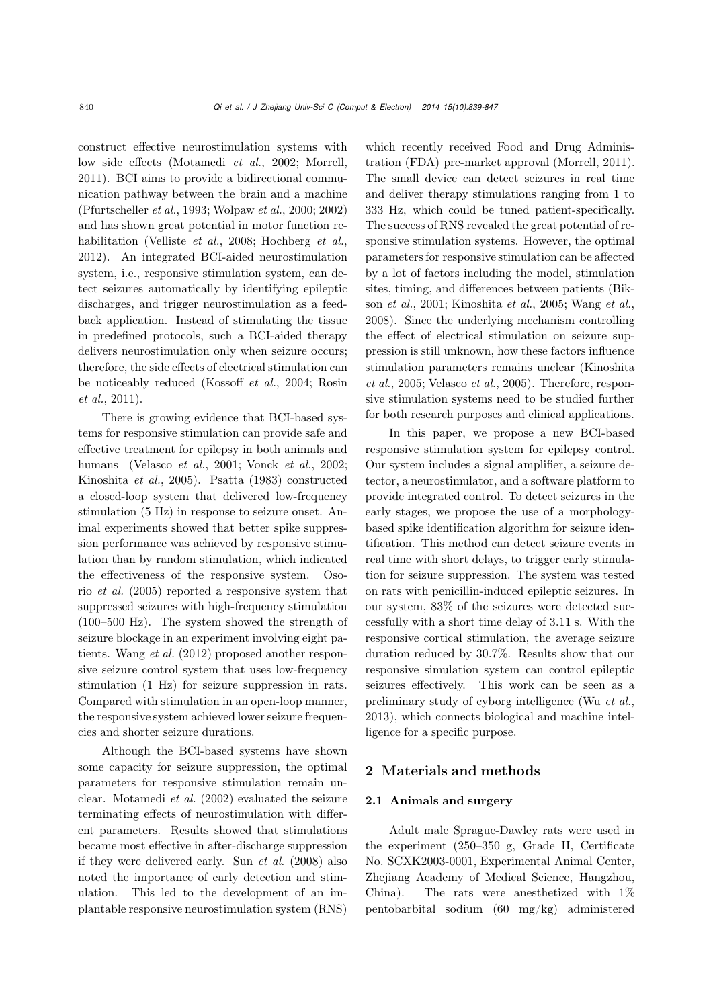construct effective neurostimulation systems with low side effects [\(Motamedi](#page-7-4) *et al.*, [2002](#page-7-4); [Morrell,](#page-7-5) [2011](#page-7-5)). BCI aims to provide a bidirectional communication pathway between the brain and a machine (Pfurtscheller *et al.*, 1993; Wolpaw *et al.*, 2000; 2002) and has shown great potential in motor function rehabilitation [\(Velliste](#page-8-1) *et al.*, [2008](#page-8-1); [Hochberg](#page-7-6) *et al.*, [2012](#page-7-6)). An integrated BCI-aided neurostimulation system, i.e., responsive stimulation system, can detect seizures automatically by identifying epileptic discharges, and trigger neurostimulation as a feedback application. Instead of stimulating the tissue in predefined protocols, such a BCI-aided therapy delivers neurostimulation only when seizure occurs; therefore, the side effects of electrical stimulation can be n[oticeably](#page-8-2) [reduced](#page-8-2) [\(Kossoff](#page-7-7) *et al.*, [2004](#page-7-7); Rosin *et al.*, [2011\)](#page-8-2).

There is growing evidence that BCI-based systems for responsive stimulation can provide safe and effective treatment for epilepsy in both animals and humans [\(Velasco](#page-8-3) *et al.*, [2001;](#page-8-3) [Vonck](#page-8-4) *et al.*, [2002;](#page-8-4) [Kinoshita](#page-7-8) *et al.*, [2005](#page-7-8)). [Psatta](#page-7-9) [\(1983\)](#page-7-9) constructed a closed-loop system that delivered low-frequency stimulation (5 Hz) in response to seizure onset. Animal experiments showed that better spike suppression performance was achieved by responsive stimulation than by random stimulation, which indicated the effe[ctiveness](#page-7-10) [of](#page-7-10) [the](#page-7-10) [responsive](#page-7-10) [system.](#page-7-10) Osorio *et al.* [\(2005\)](#page-7-10) reported a responsive system that suppressed seizures with high-frequency stimulation (100–500 Hz). The system showed the strength of seizure blockage in an experiment involving eight patients. [Wang](#page-8-5) *et al.* [\(2012](#page-8-5)) proposed another responsive seizure control system that uses low-frequency stimulation (1 Hz) for seizure suppression in rats. Compared with stimulation in an open-loop manner, the responsive system achieved lower seizure frequencies and shorter seizure durations.

Although the BCI-based systems have shown some capacity for seizure suppression, the optimal parameters for responsive stimulation remain unclear. [Motamedi](#page-7-4) *et al.* [\(2002](#page-7-4)) evaluated the seizure terminating effects of neurostimulation with different parameters. Results showed that stimulations became most effective in after-discharge suppression if they were delivered early. Sun *[et al.](#page-8-6)* [\(2008\)](#page-8-6) also noted the importance of early detection and stimulation. This led to the development of an implantable responsive neurostimulation system (RNS)

which recently received Food and Drug Administration (FDA) pre-market approval [\(Morrell, 2011\)](#page-7-5). The small device can detect seizures in real time and deliver therapy stimulations ranging from 1 to 333 Hz, which could be tuned patient-specifically. The success of RNS revealed the great potential of responsive stimulation systems. However, the optimal parameters for responsive stimulation can be affected by a lot of factors including the model, stimulation sites, tim[ing,](#page-7-11) [and](#page-7-11) [differences](#page-7-11) [between](#page-7-11) [patients](#page-7-11) [\(](#page-7-11)Bikson *et al.*, [2001](#page-7-11); [Kinoshita](#page-7-8) *et al.*, [2005](#page-7-8); [Wang](#page-8-7) *et al.*, [2008](#page-8-7)). Since the underlying mechanism controlling the effect of electrical stimulation on seizure suppression is still unknown, how these factors influence stim[ulation](#page-7-8) [parameters](#page-7-8) [remains](#page-7-8) [unclear](#page-7-8) [\(](#page-7-8)Kinoshita *et al.*, [2005](#page-7-8); [Velasco](#page-8-8) *et al.*, [2005](#page-8-8)). Therefore, responsive stimulation systems need to be studied further for both research purposes and clinical applications.

In this paper, we propose a new BCI-based responsive stimulation system for epilepsy control. Our system includes a signal amplifier, a seizure detector, a neurostimulator, and a software platform to provide integrated control. To detect seizures in the early stages, we propose the use of a morphologybased spike identification algorithm for seizure identification. This method can detect seizure events in real time with short delays, to trigger early stimulation for seizure suppression. The system was tested on rats with penicillin-induced epileptic seizures. In our system, 83% of the seizures were detected successfully with a short time delay of 3.11 s. With the responsive cortical stimulation, the average seizure duration reduced by 30.7%. Results show that our responsive simulation system can control epileptic seizures effectively. This work can be seen as a preliminary study of cyborg intelligence (Wu *[et al.](#page-8-9)*, [2013](#page-8-9)), which connects biological and machine intelligence for a specific purpose.

# 2 Materials and methods

## 2.1 Animals and surgery

Adult male Sprague-Dawley rats were used in the experiment (250–350 g, Grade II, Certificate No. SCXK2003-0001, Experimental Animal Center, Zhejiang Academy of Medical Science, Hangzhou, China). The rats were anesthetized with 1% pentobarbital sodium (60 mg/kg) administered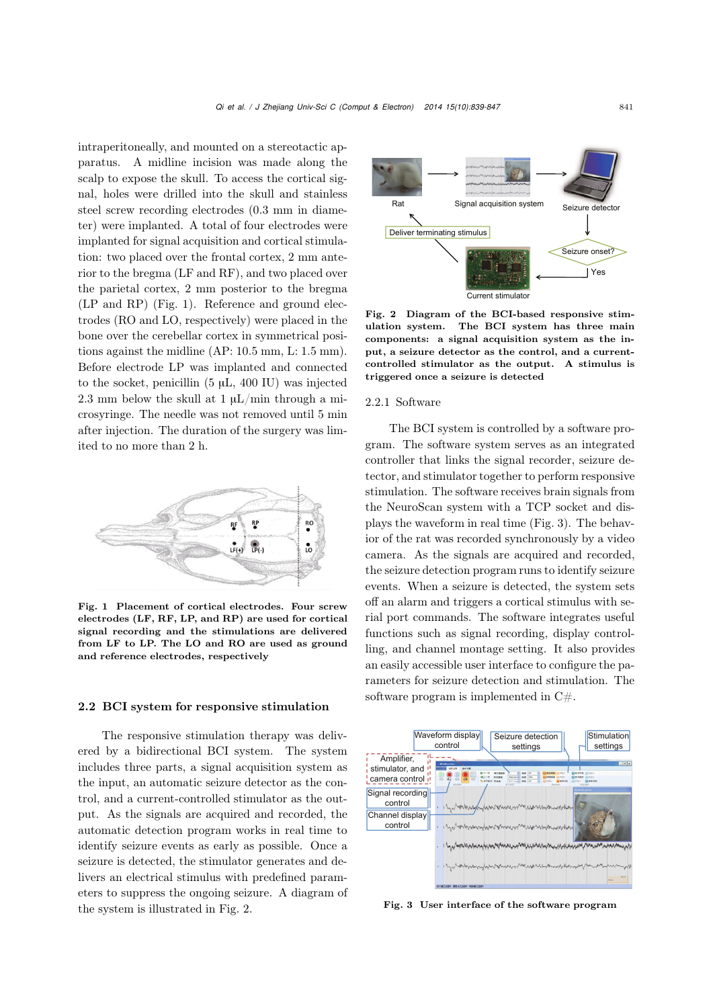intraperitoneally, and mounted on a stereotactic apparatus. A midline incision was made along the scalp to expose the skull. To access the cortical signal, holes were drilled into the skull and stainless steel screw recording electrodes (0.3 mm in diameter) were implanted. A total of four electrodes were implanted for signal acquisition and cortical stimulation: two placed over the frontal cortex, 2 mm anterior to the bregma (LF and RF), and two placed over the parietal cortex, 2 mm posterior to the bregma (LP and RP) (Fig. [1\)](#page-2-0). Reference and ground electrodes (RO and LO, respectively) were placed in the bone over the cerebellar cortex in symmetrical positions against the midline (AP: 10.5 mm, L: 1.5 mm). Before electrode LP was implanted and connected to the socket, penicillin  $(5 \mu L, 400 \text{ IU})$  was injected 2.3 mm below the skull at 1  $\mu$ L/min through a microsyringe. The needle was not removed until 5 min after injection. The duration of the surgery was limited to no more than 2 h.



<span id="page-2-0"></span>Fig. 1 Placement of cortical electrodes. Four screw electrodes (LF, RF, LP, and RP) are used for cortical signal recording and the stimulations are delivered from LF to LP. The LO and RO are used as ground and reference electrodes, respectively

## 2.2 BCI system for responsive stimulation

The responsive stimulation therapy was delivered by a bidirectional BCI system. The system includes three parts, a signal acquisition system as the input, an automatic seizure detector as the control, and a current-controlled stimulator as the output. As the signals are acquired and recorded, the automatic detection program works in real time to identify seizure events as early as possible. Once a seizure is detected, the stimulator generates and delivers an electrical stimulus with predefined parameters to suppress the ongoing seizure. A diagram of the system is illustrated in Fig. [2.](#page-2-1)



<span id="page-2-1"></span>Fig. 2 Diagram of the BCI-based responsive stimulation system. The BCI system has three main components: a signal acquisition system as the input, a seizure detector as the control, and a currentcontrolled stimulator as the output. A stimulus is triggered once a seizure is detected

## 2.2.1 Software

The BCI system is controlled by a software program. The software system serves as an integrated controller that links the signal recorder, seizure detector, and stimulator together to perform responsive stimulation. The software receives brain signals from the NeuroScan system with a TCP socket and displays the waveform in real time (Fig. [3\)](#page-2-2). The behavior of the rat was recorded synchronously by a video camera. As the signals are acquired and recorded, the seizure detection program runs to identify seizure events. When a seizure is detected, the system sets off an alarm and triggers a cortical stimulus with serial port commands. The software integrates useful functions such as signal recording, display controlling, and channel montage setting. It also provides an easily accessible user interface to configure the parameters for seizure detection and stimulation. The software program is implemented in  $C#$ .



<span id="page-2-2"></span>Fig. 3 User interface of the software program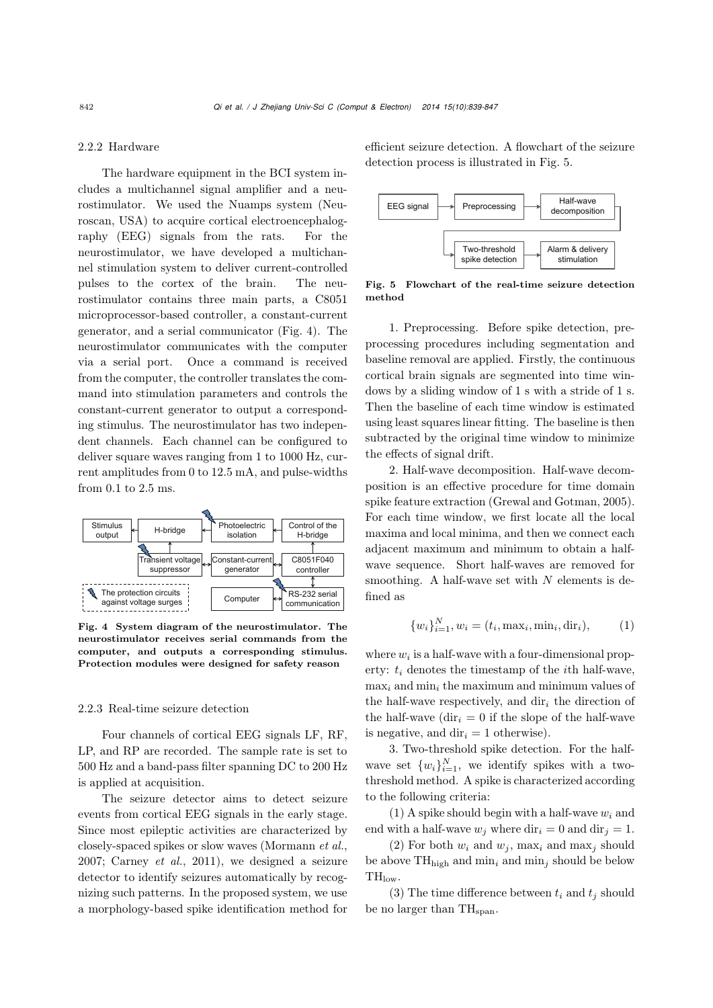## 2.2.2 Hardware

The hardware equipment in the BCI system includes a multichannel signal amplifier and a neurostimulator. We used the Nuamps system (Neuroscan, USA) to acquire cortical electroencephalography (EEG) signals from the rats. For the neurostimulator, we have developed a multichannel stimulation system to deliver current-controlled pulses to the cortex of the brain. The neurostimulator contains three main parts, a C8051 microprocessor-based controller, a constant-current generator, and a serial communicator (Fig. [4\)](#page-3-0). The neurostimulator communicates with the computer via a serial port. Once a command is received from the computer, the controller translates the command into stimulation parameters and controls the constant-current generator to output a corresponding stimulus. The neurostimulator has two independent channels. Each channel can be configured to deliver square waves ranging from 1 to 1000 Hz, current amplitudes from 0 to 12.5 mA, and pulse-widths from 0.1 to 2.5 ms.



<span id="page-3-0"></span>Fig. 4 System diagram of the neurostimulator. The neurostimulator receives serial commands from the computer, and outputs a corresponding stimulus. Protection modules were designed for safety reason

## 2.2.3 Real-time seizure detection

Four channels of cortical EEG signals LF, RF, LP, and RP are recorded. The sample rate is set to 500 Hz and a band-pass filter spanning DC to 200 Hz is applied at acquisition.

The seizure detector aims to detect seizure events from cortical EEG signals in the early stage. Since most epileptic activities are characterized by closely-spaced spikes or slow waves [\(Mormann](#page-7-12) *et al.*, [2007](#page-7-12); [Carney](#page-7-13) *et al.*, [2011\)](#page-7-13), we designed a seizure detector to identify seizures automatically by recognizing such patterns. In the proposed system, we use a morphology-based spike identification method for

efficient seizure detection. A flowchart of the seizure detection process is illustrated in Fig. [5.](#page-3-1)



<span id="page-3-1"></span>Fig. 5 Flowchart of the real-time seizure detection method

1. Preprocessing. Before spike detection, preprocessing procedures including segmentation and baseline removal are applied. Firstly, the continuous cortical brain signals are segmented into time windows by a sliding window of 1 s with a stride of 1 s. Then the baseline of each time window is estimated using least squares linear fitting. The baseline is then subtracted by the original time window to minimize the effects of signal drift.

2. Half-wave decomposition. Half-wave decomposition is an effective procedure for time domain spike feature extraction [\(Grewal and Gotman](#page-7-14), [2005\)](#page-7-14). For each time window, we first locate all the local maxima and local minima, and then we connect each adjacent maximum and minimum to obtain a halfwave sequence. Short half-waves are removed for smoothing. A half-wave set with *N* elements is defined as

$$
\{w_i\}_{i=1}^N, w_i = (t_i, \max_i, \min_i, \dim_i), \tag{1}
$$

where  $w_i$  is a half-wave with a four-dimensional property: *t<sup>i</sup>* denotes the timestamp of the *i*th half-wave, max*<sup>i</sup>* and min*<sup>i</sup>* the maximum and minimum values of the half-wave respectively, and dir*<sup>i</sup>* the direction of the half-wave  $\left(\text{dir}_{i}=0\right)$  if the slope of the half-wave is negative, and  $\text{dir}_i = 1$  otherwise).

3. Two-threshold spike detection. For the halfwave set  $\{w_i\}_{i=1}^N$ , we identify spikes with a twothreshold method. A spike is characterized according to the following criteria:

 $(1)$  A spike should begin with a half-wave  $w_i$  and end with a half-wave  $w_j$  where  $\text{dir}_i = 0$  and  $\text{dir}_j = 1$ .

(2) For both  $w_i$  and  $w_j$ , max<sub>i</sub> and max<sub>j</sub> should be above  $TH<sub>hich</sub>$  and  $min<sub>i</sub>$  and  $min<sub>j</sub>$  should be below TH<sub>low</sub>.

(3) The time difference between  $t_i$  and  $t_j$  should be no larger than TH<sub>span</sub>.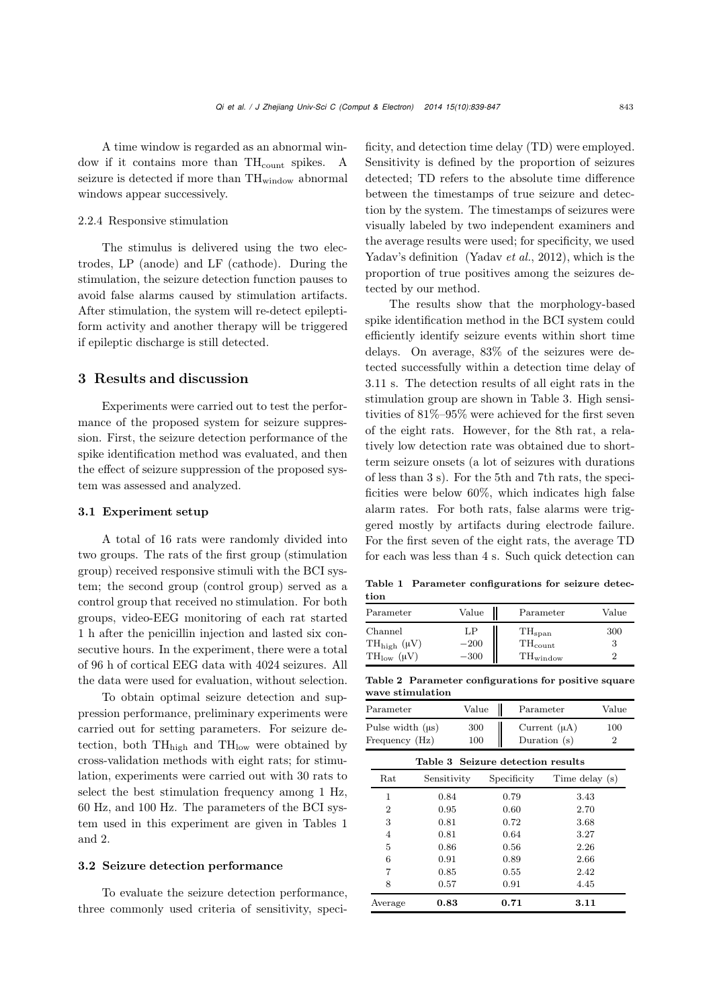A time window is regarded as an abnormal window if it contains more than TH<sub>count</sub> spikes. A seizure is detected if more than  $TH_{window}$  abnormal windows appear successively.

## 2.2.4 Responsive stimulation

The stimulus is delivered using the two electrodes, LP (anode) and LF (cathode). During the stimulation, the seizure detection function pauses to avoid false alarms caused by stimulation artifacts. After stimulation, the system will re-detect epileptiform activity and another therapy will be triggered if epileptic discharge is still detected.

## 3 Results and discussion

Experiments were carried out to test the performance of the proposed system for seizure suppression. First, the seizure detection performance of the spike identification method was evaluated, and then the effect of seizure suppression of the proposed system was assessed and analyzed.

#### 3.1 Experiment setup

A total of 16 rats were randomly divided into two groups. The rats of the first group (stimulation group) received responsive stimuli with the BCI system; the second group (control group) served as a control group that received no stimulation. For both groups, video-EEG monitoring of each rat started 1 h after the penicillin injection and lasted six consecutive hours. In the experiment, there were a total of 96 h of cortical EEG data with 4024 seizures. All the data were used for evaluation, without selection.

To obtain optimal seizure detection and suppression performance, preliminary experiments were carried out for setting parameters. For seizure detection, both  $TH<sub>high</sub>$  and  $TH<sub>low</sub>$  were obtained by cross-validation methods with eight rats; for stimulation, experiments were carried out with 30 rats to select the best stimulation frequency among 1 Hz, 60 Hz, and 100 Hz. The parameters of the BCI system used in this experiment are given in Tables [1](#page-4-0) and [2.](#page-4-1)

## 3.2 Seizure detection performance

To evaluate the seizure detection performance, three commonly used criteria of sensitivity, specificity, and detection time delay (TD) were employed. Sensitivity is defined by the proportion of seizures detected; TD refers to the absolute time difference between the timestamps of true seizure and detection by the system. The timestamps of seizures were visually labeled by two independent examiners and the average results were used; for specificity, we used Yadav's definition [\(Yadav](#page-8-10) *et al.*, [2012](#page-8-10)), which is the proportion of true positives among the seizures detected by our method.

The results show that the morphology-based spike identification method in the BCI system could efficiently identify seizure events within short time delays. On average, 83% of the seizures were detected successfully within a detection time delay of 3.11 s. The detection results of all eight rats in the stimulation group are shown in Table [3.](#page-4-2) High sensitivities of 81%–95% were achieved for the first seven of the eight rats. However, for the 8th rat, a relatively low detection rate was obtained due to shortterm seizure onsets (a lot of seizures with durations of less than 3 s). For the 5th and 7th rats, the specificities were below 60%, which indicates high false alarm rates. For both rats, false alarms were triggered mostly by artifacts during electrode failure. For the first seven of the eight rats, the average TD for each was less than 4 s. Such quick detection can

<span id="page-4-0"></span>Table 1 Parameter configurations for seizure detection

| Parameter          | Value  | Parameter           | Value |
|--------------------|--------|---------------------|-------|
| Channel            | LP     | TH <sub>span</sub>  | 300   |
| $TH_{high}(\mu V)$ | $-200$ | $TH_{\text{count}}$ | 3     |
| $TH_{low}(\mu V)$  | $-300$ | $TH_{window}$       | ٠,    |

<span id="page-4-1"></span>

|                  | Table 2 Parameter configurations for positive square |  |  |
|------------------|------------------------------------------------------|--|--|
| wave stimulation |                                                      |  |  |

| Parameter             | Value | Parameter         | Value |
|-----------------------|-------|-------------------|-------|
| Pulse width $(\mu s)$ | 300   | Current $(\mu A)$ | 100   |
| Frequency (Hz)        | 100   | Duration $(s)$    |       |

<span id="page-4-2"></span>

| Table 3 Seizure detection results |             |             |                |  |  |
|-----------------------------------|-------------|-------------|----------------|--|--|
| $_{\rm Rat}$                      | Sensitivity | Specificity | Time delay (s) |  |  |
| 1                                 | 0.84        | 0.79        | 3.43           |  |  |
| $\overline{2}$                    | 0.95        | 0.60        | 2.70           |  |  |
| 3                                 | 0.81        | 0.72        | 3.68           |  |  |
| 4                                 | 0.81        | 0.64        | 3.27           |  |  |
| 5                                 | 0.86        | 0.56        | 2.26           |  |  |
| 6                                 | 0.91        | 0.89        | 2.66           |  |  |
| 7                                 | 0.85        | 0.55        | 2.42           |  |  |
| 8                                 | 0.57        | 0.91        | 4.45           |  |  |
| Average                           | 0.83        | 0.71        | 3.11           |  |  |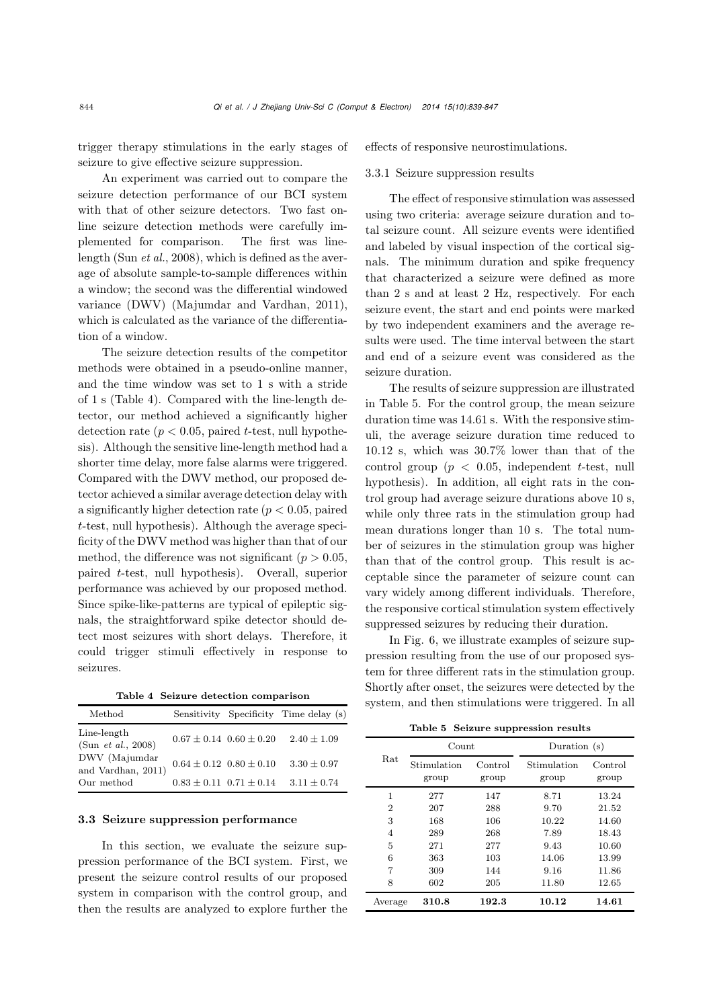trigger therapy stimulations in the early stages of seizure to give effective seizure suppression.

An experiment was carried out to compare the seizure detection performance of our BCI system with that of other seizure detectors. Two fast online seizure detection methods were carefully implemented for comparison. The first was linelength (Sun *[et al.](#page-8-6)*, [2008](#page-8-6)), which is defined as the average of absolute sample-to-sample differences within a window; the second was the differential windowed variance (DWV) [\(Majumdar and Vardhan](#page-7-15), [2011\)](#page-7-15), which is calculated as the variance of the differentiation of a window.

The seizure detection results of the competitor methods were obtained in a pseudo-online manner, and the time window was set to 1 s with a stride of 1 s (Table [4\)](#page-5-0). Compared with the line-length detector, our method achieved a significantly higher detection rate  $(p < 0.05$ , paired *t*-test, null hypothesis). Although the sensitive line-length method had a shorter time delay, more false alarms were triggered. Compared with the DWV method, our proposed detector achieved a similar average detection delay with a significantly higher detection rate (*p <* 0*.*05, paired *t*-test, null hypothesis). Although the average specificity of the DWV method was higher than that of our method, the difference was not significant ( $p > 0.05$ , paired *t*-test, null hypothesis). Overall, superior performance was achieved by our proposed method. Since spike-like-patterns are typical of epileptic signals, the straightforward spike detector should detect most seizures with short delays. Therefore, it could trigger stimuli effectively in response to seizures.

<span id="page-5-0"></span>Table 4 Seizure detection comparison

| $\operatorname{Method}$                   |                                    |                                 | Sensitivity Specificity Time delay (s) |
|-------------------------------------------|------------------------------------|---------------------------------|----------------------------------------|
| Line-length<br>(Sun <i>et al.</i> , 2008) |                                    | $0.67 \pm 0.14$ $0.60 \pm 0.20$ | $2.40 \pm 1.09$                        |
| DWV (Majumdar<br>and Vardhan, 2011)       | $0.64 \pm 0.12 \;\; 0.80 \pm 0.10$ |                                 | $3.30 \pm 0.97$                        |
| Our method                                |                                    | $0.83 \pm 0.11$ $0.71 \pm 0.14$ | $3.11 \pm 0.74$                        |

## 3.3 Seizure suppression performance

In this section, we evaluate the seizure suppression performance of the BCI system. First, we present the seizure control results of our proposed system in comparison with the control group, and then the results are analyzed to explore further the

effects of responsive neurostimulations.

#### 3.3.1 Seizure suppression results

The effect of responsive stimulation was assessed using two criteria: average seizure duration and total seizure count. All seizure events were identified and labeled by visual inspection of the cortical signals. The minimum duration and spike frequency that characterized a seizure were defined as more than 2 s and at least 2 Hz, respectively. For each seizure event, the start and end points were marked by two independent examiners and the average results were used. The time interval between the start and end of a seizure event was considered as the seizure duration.

The results of seizure suppression are illustrated in Table [5.](#page-5-1) For the control group, the mean seizure duration time was 14.61 s. With the responsive stimuli, the average seizure duration time reduced to 10.12 s, which was 30.7% lower than that of the control group (*p <* 0*.*05, independent *t*-test, null hypothesis). In addition, all eight rats in the control group had average seizure durations above 10 s, while only three rats in the stimulation group had mean durations longer than 10 s. The total number of seizures in the stimulation group was higher than that of the control group. This result is acceptable since the parameter of seizure count can vary widely among different individuals. Therefore, the responsive cortical stimulation system effectively suppressed seizures by reducing their duration.

In Fig. [6,](#page-6-0) we illustrate examples of seizure suppression resulting from the use of our proposed system for three different rats in the stimulation group. Shortly after onset, the seizures were detected by the system, and then stimulations were triggered. In all

<span id="page-5-1"></span>Table 5 Seizure suppression results

|                | Count                |                  | Duration (s)         |                  |
|----------------|----------------------|------------------|----------------------|------------------|
| Rat            | Stimulation<br>group | Control<br>group | Stimulation<br>group | Control<br>group |
| 1              | 277                  | 147              | 8.71                 | 13.24            |
| $\overline{2}$ | 207                  | 288              | 9.70                 | 21.52            |
| 3              | 168                  | 106              | 10.22                | 14.60            |
| 4              | 289                  | 268              | 7.89                 | 18.43            |
| 5              | 271                  | 277              | 9.43                 | 10.60            |
| 6              | 363                  | 103              | 14.06                | 13.99            |
| 7              | 309                  | 144              | 9.16                 | 11.86            |
| 8              | 602                  | 205              | 11.80                | 12.65            |
| Average        | 310.8                | 192.3            | 10.12                | 14.61            |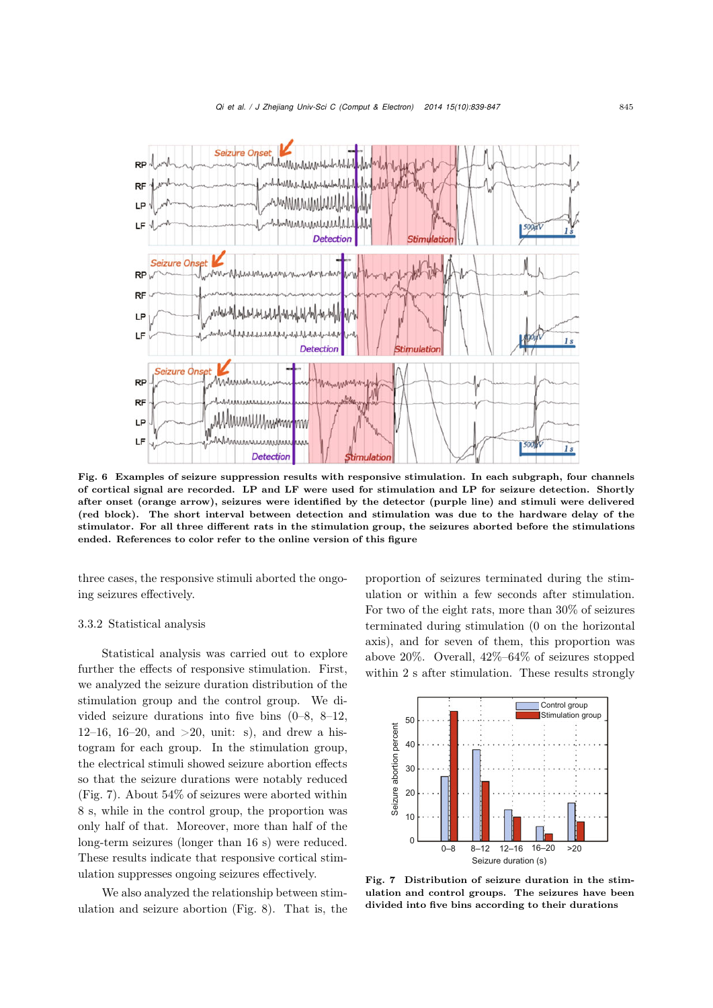

<span id="page-6-0"></span>Fig. 6 Examples of seizure suppression results with responsive stimulation. In each subgraph, four channels of cortical signal are recorded. LP and LF were used for stimulation and LP for seizure detection. Shortly after onset (orange arrow), seizures were identified by the detector (purple line) and stimuli were delivered (red block). The short interval between detection and stimulation was due to the hardware delay of the stimulator. For all three different rats in the stimulation group, the seizures aborted before the stimulations ended. References to color refer to the online version of this figure

three cases, the responsive stimuli aborted the ongoing seizures effectively.

## 3.3.2 Statistical analysis

Statistical analysis was carried out to explore further the effects of responsive stimulation. First, we analyzed the seizure duration distribution of the stimulation group and the control group. We divided seizure durations into five bins (0–8, 8–12, 12–16, 16–20, and  $>20$ , unit: s), and drew a histogram for each group. In the stimulation group, the electrical stimuli showed seizure abortion effects so that the seizure durations were notably reduced (Fig. [7\)](#page-6-1). About 54% of seizures were aborted within 8 s, while in the control group, the proportion was only half of that. Moreover, more than half of the long-term seizures (longer than 16 s) were reduced. These results indicate that responsive cortical stimulation suppresses ongoing seizures effectively.

We also analyzed the relationship between stimulation and seizure abortion (Fig. [8\)](#page-7-16). That is, the proportion of seizures terminated during the stimulation or within a few seconds after stimulation. For two of the eight rats, more than 30% of seizures terminated during stimulation (0 on the horizontal axis), and for seven of them, this proportion was above 20%. Overall, 42%–64% of seizures stopped within 2 s after stimulation. These results strongly



<span id="page-6-1"></span>Fig. 7 Distribution of seizure duration in the stimulation and control groups. The seizures have been divided into five bins according to their durations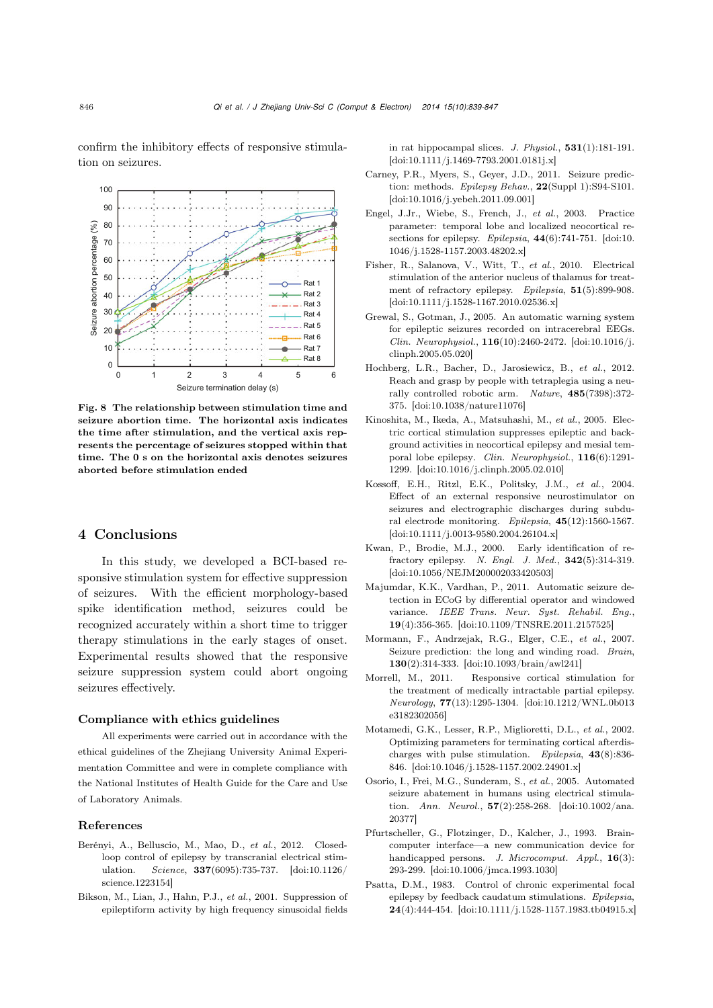confirm the inhibitory effects of responsive stimulation on seizures.



<span id="page-7-16"></span>Fig. 8 The relationship between stimulation time and seizure abortion time. The horizontal axis indicates the time after stimulation, and the vertical axis represents the percentage of seizures stopped within that time. The 0 s on the horizontal axis denotes seizures aborted before stimulation ended

# 4 Conclusions

In this study, we developed a BCI-based responsive stimulation system for effective suppression of seizures. With the efficient morphology-based spike identification method, seizures could be recognized accurately within a short time to trigger therapy stimulations in the early stages of onset. Experimental results showed that the responsive seizure suppression system could abort ongoing seizures effectively.

## Compliance with ethics guidelines

All experiments were carried out in accordance with the ethical guidelines of the Zhejiang University Animal Experimentation Committee and were in complete compliance with the National Institutes of Health Guide for the Care and Use of Laboratory Animals.

#### References

- <span id="page-7-3"></span>Berényi, A., Belluscio, M., Mao, D., *et al.*, 2012. Closedloop control of epilepsy by transcranial electrical stimulation. *Science*, 337(6095):735-737. [doi:10.1126/ science.1223154]
- <span id="page-7-11"></span>Bikson, M., Lian, J., Hahn, P.J., *et al.*, 2001. Suppression of epileptiform activity by high frequency sinusoidal fields

in rat hippocampal slices. *J. Physiol.*, 531(1):181-191. [\[doi:10.1111/j.1469-7793.2001.0181j.x\]](http://dx.doi.org/{10.1111/j.1469-7793.2001.0181j.x})

- <span id="page-7-13"></span>Carney, P.R., Myers, S., Geyer, J.D., 2011. Seizure prediction: methods. *Epilepsy Behav.*, 22(Suppl 1):S94-S101. [\[doi:10.1016/j.yebeh.2011.09.001\]](http://dx.doi.org/10.1016/j.yebeh.2011.09.001)
- <span id="page-7-1"></span>Engel, J.Jr., Wiebe, S., French, J., *et al.*, 2003. Practice parameter: temporal lobe and localized neocortical resections for epilepsy. *Epilepsia*, 44(6):741-751. [doi:10. 1046/j.1528-1157.2003.48202.x]
- <span id="page-7-2"></span>Fisher, R., Salanova, V., Witt, T., *et al.*, 2010. Electrical stimulation of the anterior nucleus of thalamus for treatment of refractory epilepsy. *Epilepsia*, 51(5):899-908. [\[doi:10.1111/j.1528-1167.2010.02536.x\]](http://dx.doi.org/10.1111/j.1528-1167.2010.02536.x)
- <span id="page-7-14"></span>Grewal, S., Gotman, J., 2005. An automatic warning system for epileptic seizures recorded on intracerebral EEGs. *Clin. Neurophysiol.*, 116(10):2460-2472. [doi:10.1016/j. clinph.2005.05.020]
- <span id="page-7-6"></span>Hochberg, L.R., Bacher, D., Jarosiewicz, B., *et al.*, 2012. Reach and grasp by people with tetraplegia using a neurally controlled robotic arm. *Nature*, 485(7398):372- 375. [\[doi:10.1038/nature11076\]](http://dx.doi.org/10.1038/nature11076)
- <span id="page-7-8"></span>Kinoshita, M., Ikeda, A., Matsuhashi, M., *et al.*, 2005. Electric cortical stimulation suppresses epileptic and background activities in neocortical epilepsy and mesial temporal lobe epilepsy. *Clin. Neurophysiol.*, 116(6):1291- 1299. [\[doi:10.1016/j.clinph.2005.02.010\]](http://dx.doi.org/{10.1016/j.clinph.2005.02.010})
- <span id="page-7-7"></span>Kossoff, E.H., Ritzl, E.K., Politsky, J.M., *et al.*, 2004. Effect of an external responsive neurostimulator on seizures and electrographic discharges during subdural electrode monitoring. *Epilepsia*, 45(12):1560-1567. [\[doi:10.1111/j.0013-9580.2004.26104.x\]](http://dx.doi.org/10.1111/j.0013-9580.2004.26104.x)
- <span id="page-7-0"></span>Kwan, P., Brodie, M.J., 2000. Early identification of refractory epilepsy. *N. Engl. J. Med.*, 342(5):314-319. [\[doi:10.1056/NEJM200002033420503\]](http://dx.doi.org/10.1056/NEJM200002033420503)
- <span id="page-7-15"></span>Majumdar, K.K., Vardhan, P., 2011. Automatic seizure detection in ECoG by differential operator and windowed variance. *IEEE Trans. Neur. Syst. Rehabil. Eng.*, 19(4):356-365. [\[doi:10.1109/TNSRE.2011.2157525\]](http://dx.doi.org/10.1109/TNSRE.2011.2157525)
- <span id="page-7-12"></span>Mormann, F., Andrzejak, R.G., Elger, C.E., *et al.*, 2007. Seizure prediction: the long and winding road. *Brain*, 130(2):314-333. [\[doi:10.1093/brain/awl241\]](http://dx.doi.org/10.1093/brain/awl241)
- <span id="page-7-5"></span>Morrell, M., 2011. Responsive cortical stimulation for the treatment of medically intractable partial epilepsy. *Neurology*, 77(13):1295-1304. [doi:10.1212/WNL.0b013 e3182302056]
- <span id="page-7-4"></span>Motamedi, G.K., Lesser, R.P., Miglioretti, D.L., *et al.*, 2002. Optimizing parameters for terminating cortical afterdischarges with pulse stimulation. *Epilepsia*, 43(8):836- 846. [\[doi:10.1046/j.1528-1157.2002.24901.x\]](http://dx.doi.org/10.1046/j.1528-1157.2002.24901.x)
- <span id="page-7-10"></span>Osorio, I., Frei, M.G., Sunderam, S., *et al.*, 2005. Automated seizure abatement in humans using electrical stimulation. *Ann. Neurol.*, 57(2):258-268. [doi:10.1002/ana. 20377]
- Pfurtscheller, G., Flotzinger, D., Kalcher, J., 1993. Braincomputer interface—a new communication device for handicapped persons. *J. Microcomput. Appl.*, 16(3): 293-299. [\[doi:10.1006/jmca.1993.1030\]](http://dx.doi.org/10.1006/jmca.1993.1030)
- <span id="page-7-9"></span>Psatta, D.M., 1983. Control of chronic experimental focal epilepsy by feedback caudatum stimulations. *Epilepsia*, 24(4):444-454. [\[doi:10.1111/j.1528-1157.1983.tb04915.x\]](http://dx.doi.org/10.1111/j.1528-1157.1983.tb04915.x)